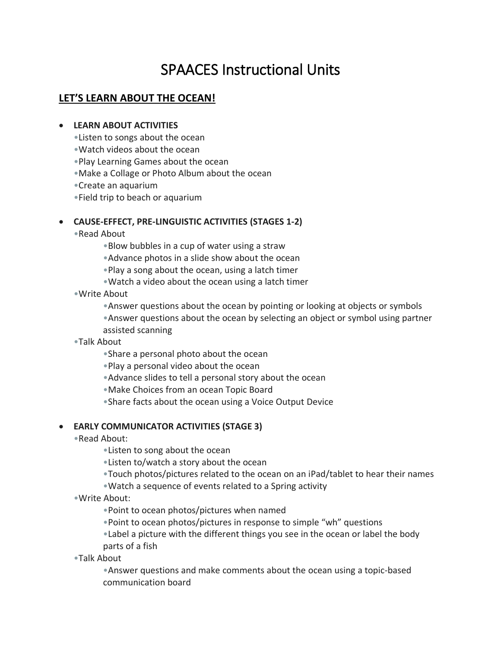# SPAACES Instructional Units

# **LET'S LEARN ABOUT THE OCEAN!**

## • **LEARN ABOUT ACTIVITIES**

- •Listen to songs about the ocean
- •Watch videos about the ocean
- •Play Learning Games about the ocean
- •Make a Collage or Photo Album about the ocean
- •Create an aquarium
- •Field trip to beach or aquarium

## • **CAUSE-EFFECT, PRE-LINGUISTIC ACTIVITIES (STAGES 1-2)**

- •Read About
	- •Blow bubbles in a cup of water using a straw
	- •Advance photos in a slide show about the ocean
	- •Play a song about the ocean, using a latch timer
	- •Watch a video about the ocean using a latch timer
- •Write About
	- •Answer questions about the ocean by pointing or looking at objects or symbols
	- •Answer questions about the ocean by selecting an object or symbol using partner assisted scanning
- •Talk About
	- •Share a personal photo about the ocean
	- •Play a personal video about the ocean
	- •Advance slides to tell a personal story about the ocean
	- •Make Choices from an ocean Topic Board
	- •Share facts about the ocean using a Voice Output Device

## • **EARLY COMMUNICATOR ACTIVITIES (STAGE 3)**

- •Read About:
	- •Listen to song about the ocean
	- •Listen to/watch a story about the ocean
	- •Touch photos/pictures related to the ocean on an iPad/tablet to hear their names
	- •Watch a sequence of events related to a Spring activity
- •Write About:
	- •Point to ocean photos/pictures when named
	- •Point to ocean photos/pictures in response to simple "wh" questions
	- •Label a picture with the different things you see in the ocean or label the body parts of a fish
- •Talk About
	- •Answer questions and make comments about the ocean using a topic-based communication board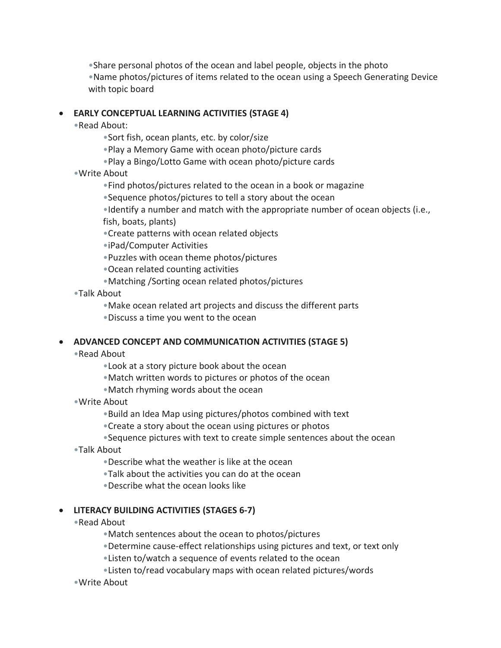•Share personal photos of the ocean and label people, objects in the photo

•Name photos/pictures of items related to the ocean using a Speech Generating Device with topic board

## • **EARLY CONCEPTUAL LEARNING ACTIVITIES (STAGE 4)**

- •Read About:
	- •Sort fish, ocean plants, etc. by color/size
	- •Play a Memory Game with ocean photo/picture cards
	- •Play a Bingo/Lotto Game with ocean photo/picture cards
- •Write About
	- •Find photos/pictures related to the ocean in a book or magazine
	- •Sequence photos/pictures to tell a story about the ocean
	- •Identify a number and match with the appropriate number of ocean objects (i.e., fish, boats, plants)
	- •Create patterns with ocean related objects
	- •iPad/Computer Activities
	- •Puzzles with ocean theme photos/pictures
	- •Ocean related counting activities
	- •Matching /Sorting ocean related photos/pictures
- •Talk About
	- •Make ocean related art projects and discuss the different parts
	- •Discuss a time you went to the ocean

## • **ADVANCED CONCEPT AND COMMUNICATION ACTIVITIES (STAGE 5)**

- •Read About
	- •Look at a story picture book about the ocean
	- •Match written words to pictures or photos of the ocean
	- •Match rhyming words about the ocean
- •Write About
	- •Build an Idea Map using pictures/photos combined with text
	- •Create a story about the ocean using pictures or photos
	- •Sequence pictures with text to create simple sentences about the ocean
- •Talk About
	- •Describe what the weather is like at the ocean
	- •Talk about the activities you can do at the ocean
	- •Describe what the ocean looks like

## • **LITERACY BUILDING ACTIVITIES (STAGES 6-7)**

- •Read About
	- •Match sentences about the ocean to photos/pictures
	- •Determine cause-effect relationships using pictures and text, or text only
	- •Listen to/watch a sequence of events related to the ocean
	- •Listen to/read vocabulary maps with ocean related pictures/words
- •Write About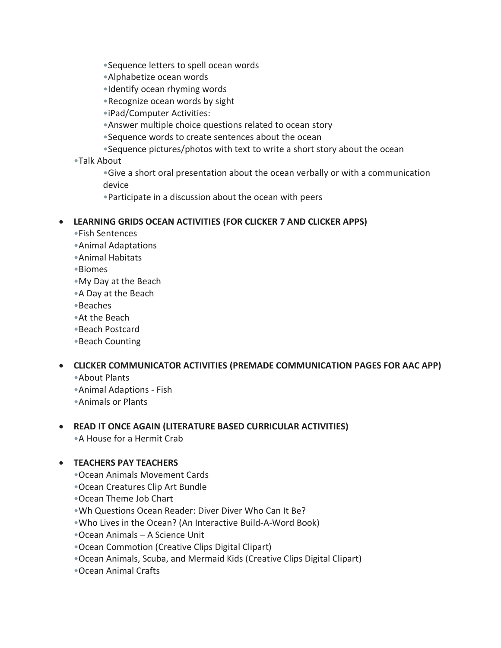- •Sequence letters to spell ocean words
- •Alphabetize ocean words
- •Identify ocean rhyming words
- •Recognize ocean words by sight
- •iPad/Computer Activities:
- •Answer multiple choice questions related to ocean story
- •Sequence words to create sentences about the ocean
- •Sequence pictures/photos with text to write a short story about the ocean

•Talk About

•Give a short oral presentation about the ocean verbally or with a communication device

•Participate in a discussion about the ocean with peers

## • **LEARNING GRIDS OCEAN ACTIVITIES (FOR CLICKER 7 AND CLICKER APPS)**

- •Fish Sentences
- •Animal Adaptations
- •Animal Habitats
- •Biomes
- •My Day at the Beach
- •A Day at the Beach
- •Beaches
- •At the Beach
- •Beach Postcard
- •Beach Counting

## • **CLICKER COMMUNICATOR ACTIVITIES (PREMADE COMMUNICATION PAGES FOR AAC APP)**

- •About Plants
- •Animal Adaptions Fish
- •Animals or Plants

## • **READ IT ONCE AGAIN (LITERATURE BASED CURRICULAR ACTIVITIES)**

•A House for a Hermit Crab

## • **TEACHERS PAY TEACHERS**

- •Ocean Animals Movement Cards
- •Ocean Creatures Clip Art Bundle
- •Ocean Theme Job Chart
- •Wh Questions Ocean Reader: Diver Diver Who Can It Be?
- •Who Lives in the Ocean? (An Interactive Build-A-Word Book)
- •Ocean Animals A Science Unit
- •Ocean Commotion (Creative Clips Digital Clipart)
- •Ocean Animals, Scuba, and Mermaid Kids (Creative Clips Digital Clipart)
- •Ocean Animal Crafts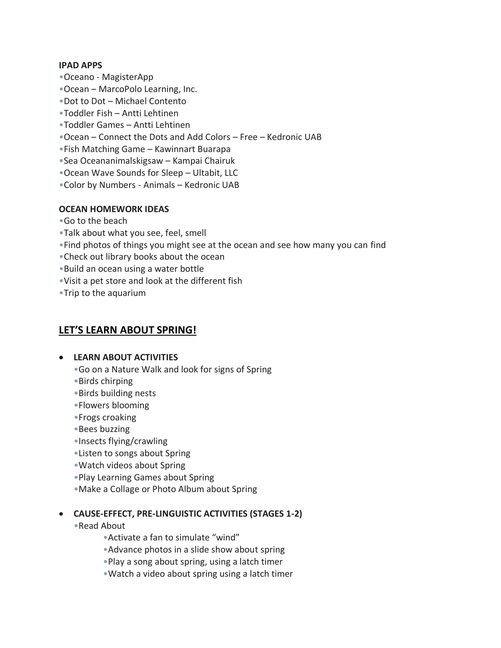#### **IPAD APPS**

- •Oceano MagisterApp
- •Ocean MarcoPolo Learning, Inc.
- •Dot to Dot Michael Contento
- •Toddler Fish Antti Lehtinen
- •Toddler Games Antti Lehtinen
- •Ocean Connect the Dots and Add Colors Free Kedronic UAB
- •Fish Matching Game Kawinnart Buarapa
- •Sea Oceananimalskigsaw Kampai Chairuk
- •Ocean Wave Sounds for Sleep Ultabit, LLC
- •Color by Numbers Animals Kedronic UAB

## **OCEAN HOMEWORK IDEAS**

- •Go to the beach
- •Talk about what you see, feel, smell
- •Find photos of things you might see at the ocean and see how many you can find
- •Check out library books about the ocean
- •Build an ocean using a water bottle
- •Visit a pet store and look at the different fish
- •Trip to the aquarium

# **LET'S LEARN ABOUT SPRING!**

#### • **LEARN ABOUT ACTIVITIES**

- •Go on a Nature Walk and look for signs of Spring
- •Birds chirping
- •Birds building nests
- •Flowers blooming
- •Frogs croaking
- •Bees buzzing
- •Insects flying/crawling
- •Listen to songs about Spring
- •Watch videos about Spring
- •Play Learning Games about Spring
- •Make a Collage or Photo Album about Spring

## • **CAUSE-EFFECT, PRE-LINGUISTIC ACTIVITIES (STAGES 1-2)**

- •Read About
	- •Activate a fan to simulate "wind"
	- •Advance photos in a slide show about spring
	- •Play a song about spring, using a latch timer
	- •Watch a video about spring using a latch timer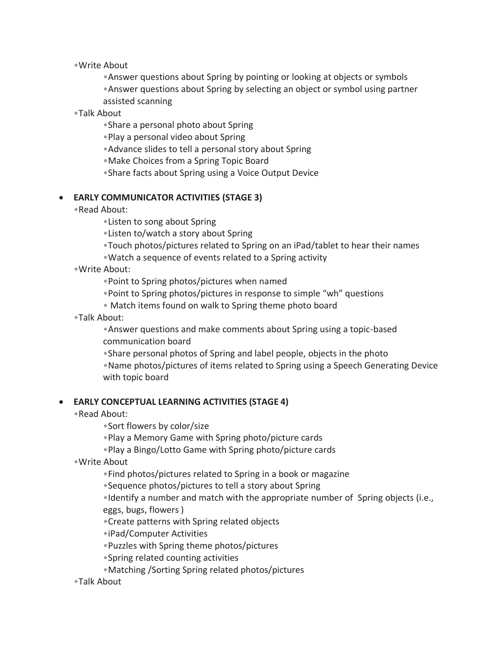•Write About

•Answer questions about Spring by pointing or looking at objects or symbols •Answer questions about Spring by selecting an object or symbol using partner assisted scanning

•Talk About

•Share a personal photo about Spring

•Play a personal video about Spring

•Advance slides to tell a personal story about Spring

•Make Choices from a Spring Topic Board

•Share facts about Spring using a Voice Output Device

#### • **EARLY COMMUNICATOR ACTIVITIES (STAGE 3)**

•Read About:

•Listen to song about Spring

•Listen to/watch a story about Spring

•Touch photos/pictures related to Spring on an iPad/tablet to hear their names

•Watch a sequence of events related to a Spring activity

•Write About:

•Point to Spring photos/pictures when named

- •Point to Spring photos/pictures in response to simple "wh" questions
- Match items found on walk to Spring theme photo board

•Talk About:

•Answer questions and make comments about Spring using a topic-based communication board

•Share personal photos of Spring and label people, objects in the photo

•Name photos/pictures of items related to Spring using a Speech Generating Device with topic board

#### • **EARLY CONCEPTUAL LEARNING ACTIVITIES (STAGE 4)**

•Read About:

•Sort flowers by color/size

•Play a Memory Game with Spring photo/picture cards

•Play a Bingo/Lotto Game with Spring photo/picture cards

•Write About

•Find photos/pictures related to Spring in a book or magazine

•Sequence photos/pictures to tell a story about Spring

•Identify a number and match with the appropriate number of Spring objects (i.e., eggs, bugs, flowers )

•Create patterns with Spring related objects

•iPad/Computer Activities

•Puzzles with Spring theme photos/pictures

•Spring related counting activities

•Matching /Sorting Spring related photos/pictures

•Talk About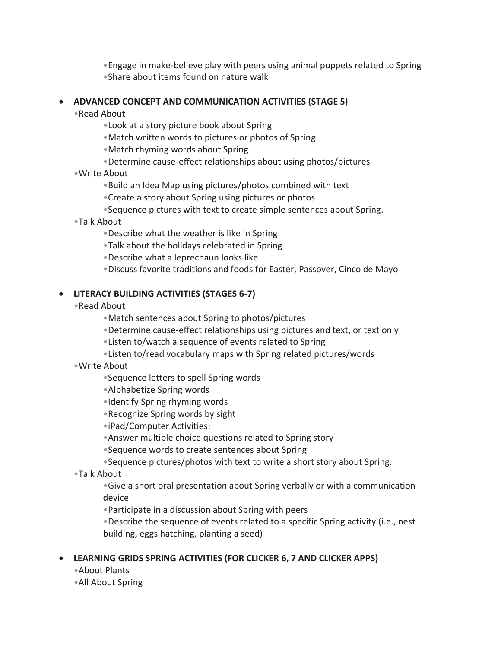•Engage in make-believe play with peers using animal puppets related to Spring •Share about items found on nature walk

## • **ADVANCED CONCEPT AND COMMUNICATION ACTIVITIES (STAGE 5)**

•Read About

- •Look at a story picture book about Spring
- •Match written words to pictures or photos of Spring
- •Match rhyming words about Spring
- •Determine cause-effect relationships about using photos/pictures
- •Write About
	- •Build an Idea Map using pictures/photos combined with text
	- •Create a story about Spring using pictures or photos
	- •Sequence pictures with text to create simple sentences about Spring.
- •Talk About
	- •Describe what the weather is like in Spring
	- •Talk about the holidays celebrated in Spring
	- •Describe what a leprechaun looks like
	- •Discuss favorite traditions and foods for Easter, Passover, Cinco de Mayo

## • **LITERACY BUILDING ACTIVITIES (STAGES 6-7)**

- •Read About
	- •Match sentences about Spring to photos/pictures
	- •Determine cause-effect relationships using pictures and text, or text only
	- •Listen to/watch a sequence of events related to Spring
	- •Listen to/read vocabulary maps with Spring related pictures/words
- •Write About
	- •Sequence letters to spell Spring words
	- •Alphabetize Spring words
	- •Identify Spring rhyming words
	- •Recognize Spring words by sight
	- •iPad/Computer Activities:
	- •Answer multiple choice questions related to Spring story
	- •Sequence words to create sentences about Spring
	- •Sequence pictures/photos with text to write a short story about Spring.
- •Talk About
	- •Give a short oral presentation about Spring verbally or with a communication device
	- •Participate in a discussion about Spring with peers
	- •Describe the sequence of events related to a specific Spring activity (i.e., nest building, eggs hatching, planting a seed)

## • **LEARNING GRIDS SPRING ACTIVITIES (FOR CLICKER 6, 7 AND CLICKER APPS)**

- •About Plants
- •All About Spring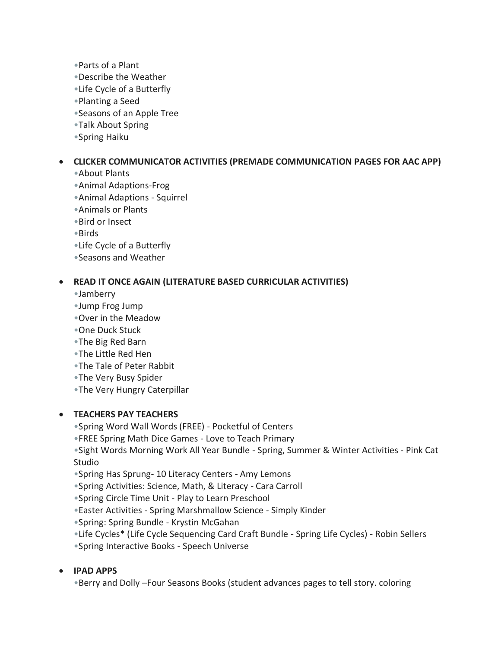- •Parts of a Plant
- •Describe the Weather
- •Life Cycle of a Butterfly
- •Planting a Seed
- •Seasons of an Apple Tree
- •Talk About Spring
- •Spring Haiku

## • **CLICKER COMMUNICATOR ACTIVITIES (PREMADE COMMUNICATION PAGES FOR AAC APP)**

- •About Plants
- •Animal Adaptions-Frog
- •Animal Adaptions Squirrel
- •Animals or Plants
- •Bird or Insect
- •Birds
- •Life Cycle of a Butterfly
- •Seasons and Weather

## • **READ IT ONCE AGAIN (LITERATURE BASED CURRICULAR ACTIVITIES)**

- •Jamberry
- •Jump Frog Jump
- •Over in the Meadow
- •One Duck Stuck
- •The Big Red Barn
- •The Little Red Hen
- •The Tale of Peter Rabbit
- •The Very Busy Spider
- •The Very Hungry Caterpillar

## • **TEACHERS PAY TEACHERS**

- •Spring Word Wall Words (FREE) Pocketful of Centers
- •FREE Spring Math Dice Games Love to Teach Primary
- •Sight Words Morning Work All Year Bundle Spring, Summer & Winter Activities Pink Cat Studio
- •Spring Has Sprung- 10 Literacy Centers Amy Lemons
- •Spring Activities: Science, Math, & Literacy Cara Carroll
- •Spring Circle Time Unit Play to Learn Preschool
- •Easter Activities Spring Marshmallow Science Simply Kinder
- •Spring: Spring Bundle Krystin McGahan
- •Life Cycles\* (Life Cycle Sequencing Card Craft Bundle Spring Life Cycles) Robin Sellers
- •Spring Interactive Books Speech Universe

## • **IPAD APPS**

•Berry and Dolly –Four Seasons Books (student advances pages to tell story. coloring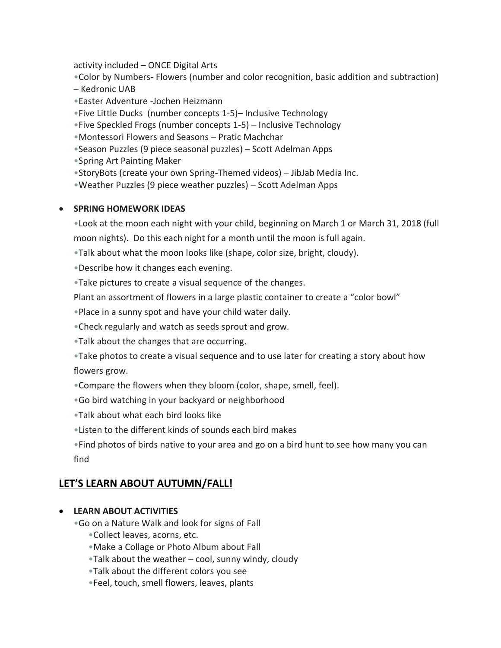activity included – ONCE Digital Arts

•Color by Numbers- Flowers (number and color recognition, basic addition and subtraction)

- Kedronic UAB
- •Easter Adventure -Jochen Heizmann

•Five Little Ducks (number concepts 1-5)– Inclusive Technology

•Five Speckled Frogs (number concepts 1-5) – Inclusive Technology

•Montessori Flowers and Seasons – Pratic Machchar

•Season Puzzles (9 piece seasonal puzzles) – Scott Adelman Apps

•Spring Art Painting Maker

•StoryBots (create your own Spring-Themed videos) – JibJab Media Inc.

•Weather Puzzles (9 piece weather puzzles) – Scott Adelman Apps

## • **SPRING HOMEWORK IDEAS**

•Look at the moon each night with your child, beginning on March 1 or March 31, 2018 (full moon nights). Do this each night for a month until the moon is full again.

•Talk about what the moon looks like (shape, color size, bright, cloudy).

•Describe how it changes each evening.

•Take pictures to create a visual sequence of the changes.

Plant an assortment of flowers in a large plastic container to create a "color bowl"

•Place in a sunny spot and have your child water daily.

•Check regularly and watch as seeds sprout and grow.

•Talk about the changes that are occurring.

•Take photos to create a visual sequence and to use later for creating a story about how flowers grow.

•Compare the flowers when they bloom (color, shape, smell, feel).

•Go bird watching in your backyard or neighborhood

•Talk about what each bird looks like

•Listen to the different kinds of sounds each bird makes

•Find photos of birds native to your area and go on a bird hunt to see how many you can find

# **LET'S LEARN ABOUT AUTUMN/FALL!**

## • **LEARN ABOUT ACTIVITIES**

•Go on a Nature Walk and look for signs of Fall

- •Collect leaves, acorns, etc.
- •Make a Collage or Photo Album about Fall
- •Talk about the weather cool, sunny windy, cloudy
- •Talk about the different colors you see
- •Feel, touch, smell flowers, leaves, plants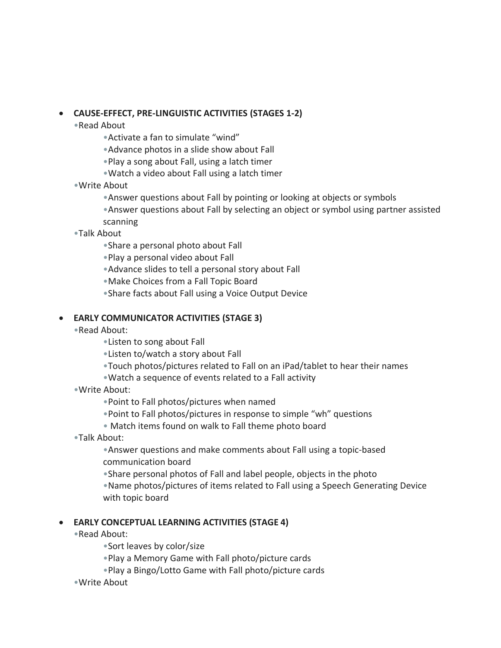## • **CAUSE-EFFECT, PRE-LINGUISTIC ACTIVITIES (STAGES 1-2)**

- •Read About
	- •Activate a fan to simulate "wind"
	- •Advance photos in a slide show about Fall
	- •Play a song about Fall, using a latch timer
	- •Watch a video about Fall using a latch timer
- •Write About
	- •Answer questions about Fall by pointing or looking at objects or symbols
	- •Answer questions about Fall by selecting an object or symbol using partner assisted scanning
- •Talk About
	- •Share a personal photo about Fall
	- •Play a personal video about Fall
	- •Advance slides to tell a personal story about Fall
	- •Make Choices from a Fall Topic Board
	- •Share facts about Fall using a Voice Output Device

## • **EARLY COMMUNICATOR ACTIVITIES (STAGE 3)**

- •Read About:
	- •Listen to song about Fall
	- •Listen to/watch a story about Fall
	- •Touch photos/pictures related to Fall on an iPad/tablet to hear their names
	- •Watch a sequence of events related to a Fall activity
- •Write About:
	- •Point to Fall photos/pictures when named
	- •Point to Fall photos/pictures in response to simple "wh" questions
	- Match items found on walk to Fall theme photo board
- •Talk About:

•Answer questions and make comments about Fall using a topic-based communication board

•Share personal photos of Fall and label people, objects in the photo

•Name photos/pictures of items related to Fall using a Speech Generating Device with topic board

## • **EARLY CONCEPTUAL LEARNING ACTIVITIES (STAGE 4)**

- •Read About:
	- •Sort leaves by color/size
	- •Play a Memory Game with Fall photo/picture cards
	- •Play a Bingo/Lotto Game with Fall photo/picture cards
- •Write About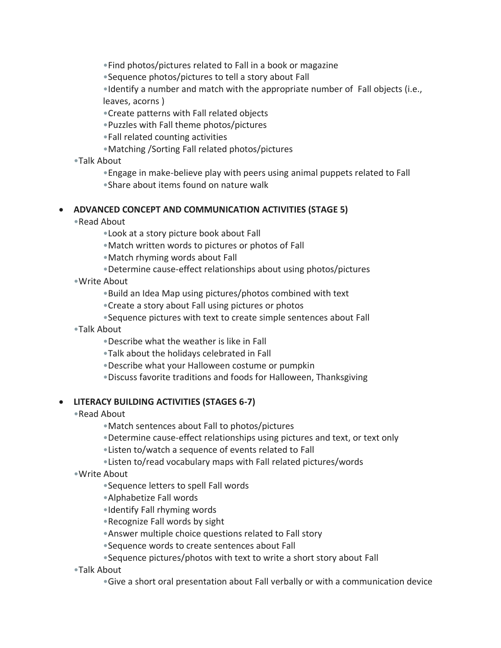•Find photos/pictures related to Fall in a book or magazine

•Sequence photos/pictures to tell a story about Fall

•Identify a number and match with the appropriate number of Fall objects (i.e., leaves, acorns )

•Create patterns with Fall related objects

•Puzzles with Fall theme photos/pictures

•Fall related counting activities

- •Matching /Sorting Fall related photos/pictures
- •Talk About
	- •Engage in make-believe play with peers using animal puppets related to Fall

•Share about items found on nature walk

## • **ADVANCED CONCEPT AND COMMUNICATION ACTIVITIES (STAGE 5)**

- •Read About
	- •Look at a story picture book about Fall
	- •Match written words to pictures or photos of Fall
	- •Match rhyming words about Fall
	- •Determine cause-effect relationships about using photos/pictures
- •Write About
	- •Build an Idea Map using pictures/photos combined with text
	- •Create a story about Fall using pictures or photos
	- •Sequence pictures with text to create simple sentences about Fall
- •Talk About
	- •Describe what the weather is like in Fall
	- •Talk about the holidays celebrated in Fall
	- •Describe what your Halloween costume or pumpkin
	- •Discuss favorite traditions and foods for Halloween, Thanksgiving

## • **LITERACY BUILDING ACTIVITIES (STAGES 6-7)**

- •Read About
	- •Match sentences about Fall to photos/pictures
	- •Determine cause-effect relationships using pictures and text, or text only
	- •Listen to/watch a sequence of events related to Fall
	- •Listen to/read vocabulary maps with Fall related pictures/words
- •Write About
	- •Sequence letters to spell Fall words
	- •Alphabetize Fall words
	- •Identify Fall rhyming words
	- •Recognize Fall words by sight
	- •Answer multiple choice questions related to Fall story
	- •Sequence words to create sentences about Fall
	- •Sequence pictures/photos with text to write a short story about Fall
- •Talk About
	- •Give a short oral presentation about Fall verbally or with a communication device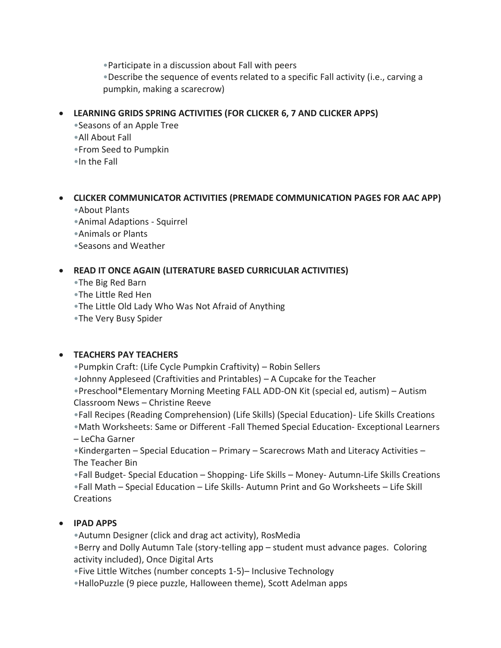•Participate in a discussion about Fall with peers

•Describe the sequence of events related to a specific Fall activity (i.e., carving a pumpkin, making a scarecrow)

## • **LEARNING GRIDS SPRING ACTIVITIES (FOR CLICKER 6, 7 AND CLICKER APPS)**

- •Seasons of an Apple Tree
- •All About Fall
- •From Seed to Pumpkin
- •In the Fall

# • **CLICKER COMMUNICATOR ACTIVITIES (PREMADE COMMUNICATION PAGES FOR AAC APP)**

- •About Plants
- •Animal Adaptions Squirrel
- •Animals or Plants
- •Seasons and Weather

# • **READ IT ONCE AGAIN (LITERATURE BASED CURRICULAR ACTIVITIES)**

- •The Big Red Barn
- •The Little Red Hen
- •The Little Old Lady Who Was Not Afraid of Anything
- •The Very Busy Spider

# • **TEACHERS PAY TEACHERS**

- •Pumpkin Craft: (Life Cycle Pumpkin Craftivity) Robin Sellers
- •Johnny Appleseed (Craftivities and Printables) A Cupcake for the Teacher

•Preschool\*Elementary Morning Meeting FALL ADD-ON Kit (special ed, autism) – Autism Classroom News – Christine Reeve

- •Fall Recipes (Reading Comprehension) (Life Skills) (Special Education)- Life Skills Creations
- •Math Worksheets: Same or Different -Fall Themed Special Education- Exceptional Learners – LeCha Garner

•Kindergarten – Special Education – Primary – Scarecrows Math and Literacy Activities – The Teacher Bin

•Fall Budget- Special Education – Shopping- Life Skills – Money- Autumn-Life Skills Creations •Fall Math – Special Education – Life Skills- Autumn Print and Go Worksheets – Life Skill Creations

# • **IPAD APPS**

•Autumn Designer (click and drag act activity), RosMedia

•Berry and Dolly Autumn Tale (story-telling app – student must advance pages. Coloring activity included), Once Digital Arts

- •Five Little Witches (number concepts 1-5)– Inclusive Technology
- •HalloPuzzle (9 piece puzzle, Halloween theme), Scott Adelman apps